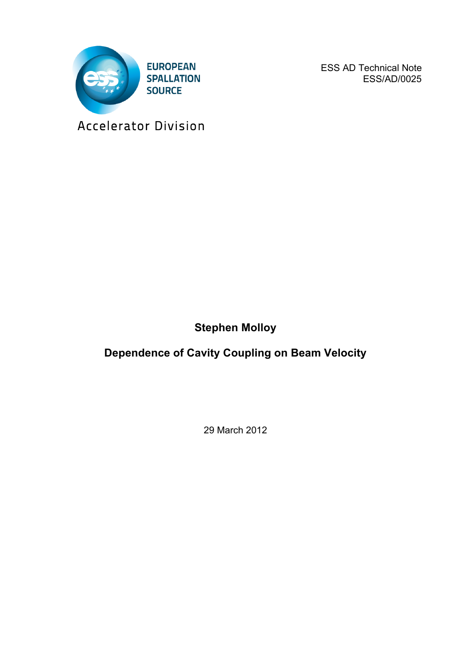

ESS AD Technical Note ESS/AD/0025

Accelerator Division

**Stephen Molloy**

**Dependence of Cavity Coupling on Beam Velocity**

29 March 2012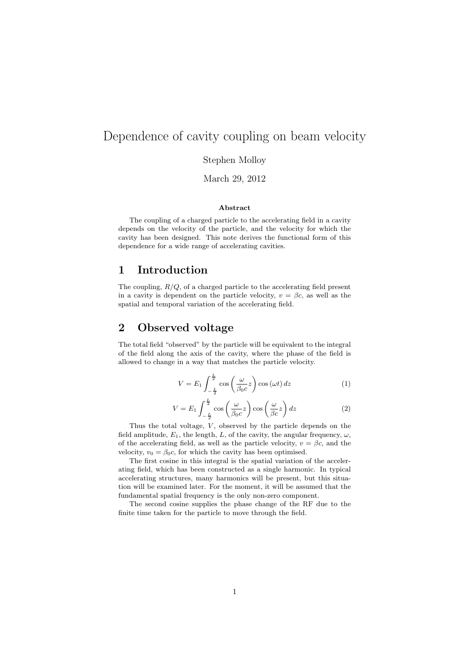# Dependence of cavity coupling on beam velocity

Stephen Molloy

March 29, 2012

#### Abstract

The coupling of a charged particle to the accelerating field in a cavity depends on the velocity of the particle, and the velocity for which the cavity has been designed. This note derives the functional form of this dependence for a wide range of accelerating cavities.

### 1 Introduction

The coupling, *R/Q*, of a charged particle to the accelerating field present in a cavity is dependent on the particle velocity,  $v = \beta c$ , as well as the spatial and temporal variation of the accelerating field.

### 2 Observed voltage

The total field "observed" by the particle will be equivalent to the integral of the field along the axis of the cavity, where the phase of the field is allowed to change in a way that matches the particle velocity.

$$
V = E_1 \int_{-\frac{L}{2}}^{\frac{L}{2}} \cos\left(\frac{\omega}{\beta_0 c}z\right) \cos\left(\omega t\right) dz \tag{1}
$$

$$
V = E_1 \int_{-\frac{L}{2}}^{\frac{L}{2}} \cos\left(\frac{\omega}{\beta_0 c}z\right) \cos\left(\frac{\omega}{\beta c}z\right) dz
$$
 (2)

Thus the total voltage, *V*, observed by the particle depends on the field amplitude,  $E_1$ , the length,  $L$ , of the cavity, the angular frequency,  $\omega$ , of the accelerating field, as well as the particle velocity,  $v = \beta c$ , and the velocity,  $v_0 = \beta_0 c$ , for which the cavity has been optimised.

The first cosine in this integral is the spatial variation of the accelerating field, which has been constructed as a single harmonic. In typical accelerating structures, many harmonics will be present, but this situation will be examined later. For the moment, it will be assumed that the fundamental spatial frequency is the only non-zero component.

The second cosine supplies the phase change of the RF due to the finite time taken for the particle to move through the field.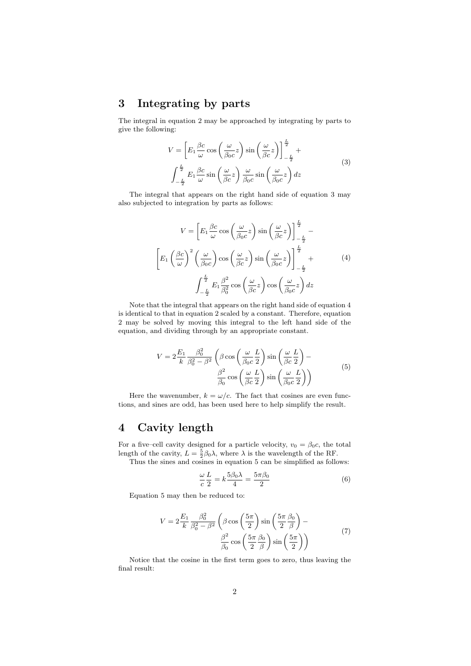## 3 Integrating by parts

The integral in equation 2 may be approached by integrating by parts to give the following:

$$
V = \left[ E_1 \frac{\beta c}{\omega} \cos \left( \frac{\omega}{\beta_0 c} z \right) \sin \left( \frac{\omega}{\beta c} z \right) \right]_{-\frac{L}{2}}^{\frac{L}{2}} +
$$
  

$$
\int_{-\frac{L}{2}}^{\frac{L}{2}} E_1 \frac{\beta c}{\omega} \sin \left( \frac{\omega}{\beta c} z \right) \frac{\omega}{\beta_0 c} \sin \left( \frac{\omega}{\beta_0 c} z \right) dz
$$
 (3)

The integral that appears on the right hand side of equation 3 may also subjected to integration by parts as follows:

$$
V = \left[ E_1 \frac{\beta c}{\omega} \cos \left( \frac{\omega}{\beta_0 c} z \right) \sin \left( \frac{\omega}{\beta c} z \right) \right]_{-\frac{L}{2}}^{\frac{L}{2}} -
$$

$$
\left[ E_1 \left( \frac{\beta c}{\omega} \right)^2 \left( \frac{\omega}{\beta_0 c} \right) \cos \left( \frac{\omega}{\beta c} z \right) \sin \left( \frac{\omega}{\beta_0 c} z \right) \right]_{-\frac{L}{2}}^{\frac{L}{2}} +
$$
(4)
$$
\int_{-\frac{L}{2}}^{\frac{L}{2}} E_1 \frac{\beta^2}{\beta_0^2} \cos \left( \frac{\omega}{\beta c} z \right) \cos \left( \frac{\omega}{\beta_0 c} z \right) dz
$$

Note that the integral that appears on the right hand side of equation 4 is identical to that in equation 2 scaled by a constant. Therefore, equation 2 may be solved by moving this integral to the left hand side of the equation, and dividing through by an appropriate constant.

$$
V = 2\frac{E_1}{k}\frac{\beta_0^2}{\beta_0^2 - \beta^2} \left(\beta \cos\left(\frac{\omega}{\beta_0 c}\frac{L}{2}\right) \sin\left(\frac{\omega}{\beta c}\frac{L}{2}\right) - \frac{\beta^2}{\beta_0 \cos\left(\frac{\omega}{\beta c}\frac{L}{2}\right) \sin\left(\frac{\omega}{\beta_0 c}\frac{L}{2}\right)}\right)
$$
(5)

Here the wavenumber,  $k = \omega/c$ . The fact that cosines are even functions, and sines are odd, has been used here to help simplify the result.

## 4 Cavity length

For a five–cell cavity designed for a particle velocity,  $v_0 = \beta_0 c$ , the total length of the cavity,  $L = \frac{5}{2}\beta_0 \lambda$ , where  $\lambda$  is the wavelength of the RF.

Thus the sines and cosines in equation 5 can be simplified as follows:

$$
\frac{\omega}{c}\frac{L}{2} = k\frac{5\beta_0\lambda}{4} = \frac{5\pi\beta_0}{2}
$$
 (6)

Equation 5 may then be reduced to:

$$
V = 2\frac{E_1}{k} \frac{\beta_0^2}{\beta_0^2 - \beta^2} \left( \beta \cos\left(\frac{5\pi}{2}\right) \sin\left(\frac{5\pi}{2}\frac{\beta_0}{\beta}\right) - \frac{\beta^2}{\beta_0} \cos\left(\frac{5\pi}{2}\frac{\beta_0}{\beta}\right) \sin\left(\frac{5\pi}{2}\right) \right)
$$
(7)

Notice that the cosine in the first term goes to zero, thus leaving the final result: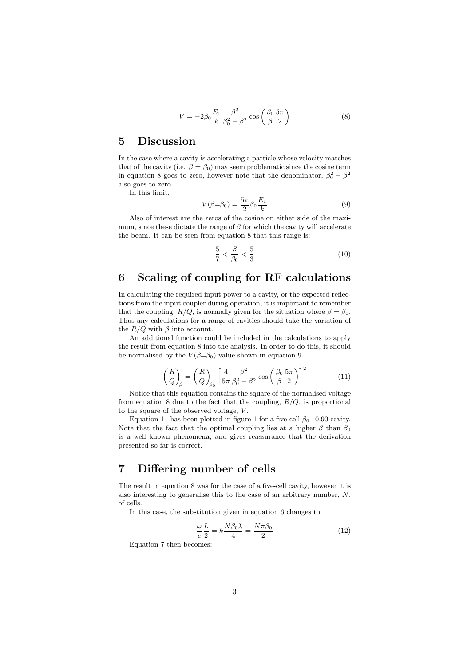$$
V = -2\beta_0 \frac{E_1}{k} \frac{\beta^2}{\beta_0^2 - \beta^2} \cos\left(\frac{\beta_0}{\beta} \frac{5\pi}{2}\right) \tag{8}
$$

#### 5 Discussion

In the case where a cavity is accelerating a particle whose velocity matches that of the cavity (i.e.  $\beta = \beta_0$ ) may seem problematic since the cosine term in equation 8 goes to zero, however note that the denominator,  $\beta_0^2 - \beta^2$ also goes to zero.

In this limit,

$$
V(\beta = \beta_0) = \frac{5\pi}{2} \beta_0 \frac{E_1}{k}
$$
 (9)

Also of interest are the zeros of the cosine on either side of the maximum, since these dictate the range of  $\beta$  for which the cavity will accelerate the beam. It can be seen from equation 8 that this range is:

$$
\frac{5}{7} < \frac{\beta}{\beta_0} < \frac{5}{3} \tag{10}
$$

## 6 Scaling of coupling for RF calculations

In calculating the required input power to a cavity, or the expected reflections from the input coupler during operation, it is important to remember that the coupling,  $R/Q$ , is normally given for the situation where  $\beta = \beta_0$ . Thus any calculations for a range of cavities should take the variation of the  $R/Q$  with  $\beta$  into account.

An additional function could be included in the calculations to apply the result from equation 8 into the analysis. In order to do this, it should be normalised by the  $V(\beta = \beta_0)$  value shown in equation 9.

$$
\left(\frac{R}{Q}\right)_{\beta} = \left(\frac{R}{Q}\right)_{\beta_0} \left[\frac{4}{5\pi} \frac{\beta^2}{\beta_0^2 - \beta^2} \cos\left(\frac{\beta_0}{\beta} \frac{5\pi}{2}\right)\right]^2 \tag{11}
$$

Notice that this equation contains the square of the normalised voltage from equation 8 due to the fact that the coupling, *R/Q*, is proportional to the square of the observed voltage, *V* .

Equation 11 has been plotted in figure 1 for a five-cell  $\beta_0=0.90$  cavity. Note that the fact that the optimal coupling lies at a higher  $\beta$  than  $\beta_0$ is a well known phenomena, and gives reassurance that the derivation presented so far is correct.

## 7 Differing number of cells

The result in equation 8 was for the case of a five-cell cavity, however it is also interesting to generalise this to the case of an arbitrary number, *N*, of cells.

In this case, the substitution given in equation 6 changes to:

$$
\frac{\omega}{c}\frac{L}{2} = k\frac{N\beta_0\lambda}{4} = \frac{N\pi\beta_0}{2}
$$
\n(12)

Equation 7 then becomes: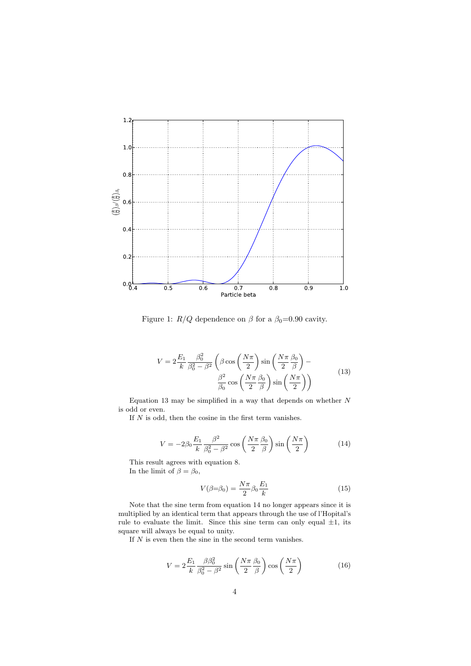

Figure 1:  $R/Q$  dependence on  $\beta$  for a  $\beta_0=0.90$  cavity.

$$
V = 2\frac{E_1}{k}\frac{\beta_0^2}{\beta_0^2 - \beta^2} \left(\beta \cos\left(\frac{N\pi}{2}\right) \sin\left(\frac{N\pi}{2}\frac{\beta_0}{\beta}\right) - \frac{\beta^2}{\beta_0} \cos\left(\frac{N\pi}{2}\frac{\beta_0}{\beta}\right) \sin\left(\frac{N\pi}{2}\right)\right)
$$
(13)

Equation 13 may be simplified in a way that depends on whether *N* is odd or even.

If  $N$  is odd, then the cosine in the first term vanishes.

$$
V = -2\beta_0 \frac{E_1}{k} \frac{\beta^2}{\beta_0^2 - \beta^2} \cos\left(\frac{N\pi}{2} \frac{\beta_0}{\beta}\right) \sin\left(\frac{N\pi}{2}\right) \tag{14}
$$

This result agrees with equation 8. In the limit of  $\beta = \beta_0$ ,

$$
V(\beta = \beta_0) = \frac{N\pi}{2} \beta_0 \frac{E_1}{k}
$$
 (15)

Note that the sine term from equation 14 no longer appears since it is multiplied by an identical term that appears through the use of l'Hopital's rule to evaluate the limit. Since this sine term can only equal *±*1, its square will always be equal to unity.

If *N* is even then the sine in the second term vanishes.

$$
V = 2\frac{E_1}{k}\frac{\beta\beta_0^2}{\beta_0^2 - \beta^2}\sin\left(\frac{N\pi}{2}\frac{\beta_0}{\beta}\right)\cos\left(\frac{N\pi}{2}\right) \tag{16}
$$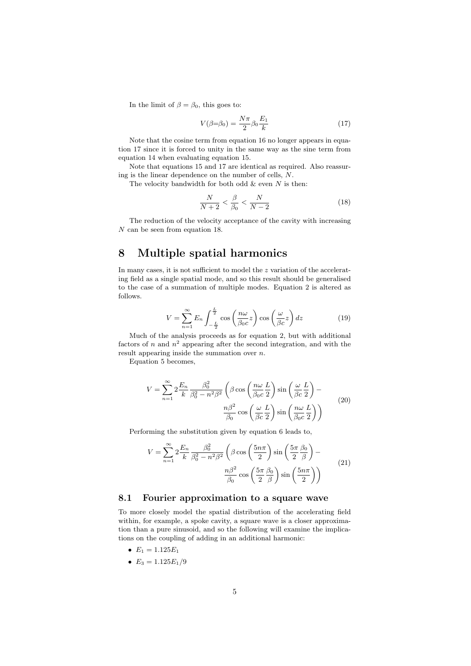In the limit of  $\beta = \beta_0$ , this goes to:

$$
V(\beta = \beta_0) = \frac{N\pi}{2} \beta_0 \frac{E_1}{k} \tag{17}
$$

Note that the cosine term from equation 16 no longer appears in equation 17 since it is forced to unity in the same way as the sine term from equation 14 when evaluating equation 15.

Note that equations 15 and 17 are identical as required. Also reassuring is the linear dependence on the number of cells, *N*.

The velocity bandwidth for both odd & even *N* is then:

$$
\frac{N}{N+2} < \frac{\beta}{\beta_0} < \frac{N}{N-2} \tag{18}
$$

The reduction of the velocity acceptance of the cavity with increasing *N* can be seen from equation 18.

### 8 Multiple spatial harmonics

In many cases, it is not sufficient to model the *z* variation of the accelerating field as a single spatial mode, and so this result should be generalised to the case of a summation of multiple modes. Equation 2 is altered as follows.

$$
V = \sum_{n=1}^{\infty} E_n \int_{-\frac{L}{2}}^{\frac{L}{2}} \cos\left(\frac{n\omega}{\beta_0 c}z\right) \cos\left(\frac{\omega}{\beta c}z\right) dz \tag{19}
$$

Much of the analysis proceeds as for equation 2, but with additional factors of *n* and  $n^2$  appearing after the second integration, and with the result appearing inside the summation over *n*.

Equation 5 becomes,

$$
V = \sum_{n=1}^{\infty} 2 \frac{E_n}{k} \frac{\beta_0^2}{\beta_0^2 - n^2 \beta^2} \left( \beta \cos \left( \frac{n\omega}{\beta_0 c} \frac{L}{2} \right) \sin \left( \frac{\omega}{\beta c} \frac{L}{2} \right) - \frac{n\beta^2}{\beta_0} \cos \left( \frac{\omega}{\beta c} \frac{L}{2} \right) \sin \left( \frac{n\omega}{\beta_0 c} \frac{L}{2} \right) \right)
$$
(20)

Performing the substitution given by equation 6 leads to,

$$
V = \sum_{n=1}^{\infty} 2 \frac{E_n}{k} \frac{\beta_0^2}{\beta_0^2 - n^2 \beta^2} \left( \beta \cos \left( \frac{5n\pi}{2} \right) \sin \left( \frac{5\pi}{2} \frac{\beta_0}{\beta} \right) - \frac{n\beta^2}{\beta_0} \cos \left( \frac{5\pi}{2} \frac{\beta_0}{\beta} \right) \sin \left( \frac{5n\pi}{2} \right) \right)
$$
(21)

#### 8.1 Fourier approximation to a square wave

To more closely model the spatial distribution of the accelerating field within, for example, a spoke cavity, a square wave is a closer approximation than a pure sinusoid, and so the following will examine the implications on the coupling of adding in an additional harmonic:

- $E_1 = 1.125E_1$
- $E_3 = 1.125E_1/9$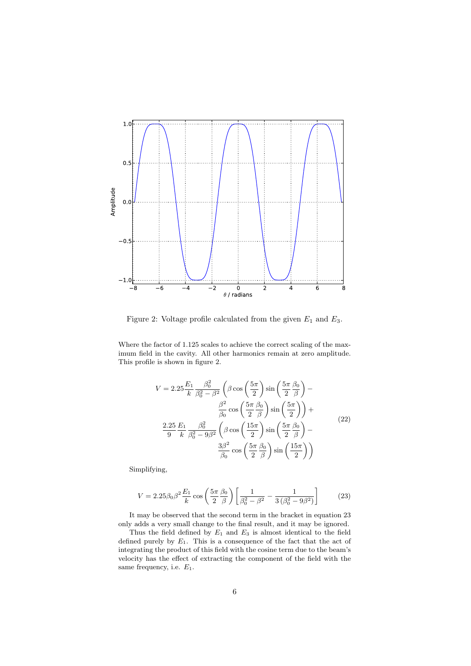

Figure 2: Voltage profile calculated from the given *E*<sup>1</sup> and *E*3.

Where the factor of 1.125 scales to achieve the correct scaling of the maximum field in the cavity. All other harmonics remain at zero amplitude. This profile is shown in figure 2.

$$
V = 2.25 \frac{E_1}{k} \frac{\beta_0^2}{\beta_0^2 - \beta^2} \left( \beta \cos \left( \frac{5\pi}{2} \right) \sin \left( \frac{5\pi}{2} \frac{\beta_0}{\beta} \right) - \frac{\beta^2}{\beta_0} \cos \left( \frac{5\pi}{2} \frac{\beta_0}{\beta} \right) \sin \left( \frac{5\pi}{2} \right) \right) +
$$
  

$$
\frac{2.25}{9} \frac{E_1}{k} \frac{\beta_0^2}{\beta_0^2 - 9\beta^2} \left( \beta \cos \left( \frac{15\pi}{2} \right) \sin \left( \frac{5\pi}{2} \frac{\beta_0}{\beta} \right) - \frac{3\beta^2}{\beta_0} \cos \left( \frac{5\pi}{2} \frac{\beta_0}{\beta} \right) \sin \left( \frac{15\pi}{2} \right) \right)
$$
(22)

Simplifying,

$$
V = 2.25 \beta_0 \beta^2 \frac{E_1}{k} \cos \left(\frac{5\pi}{2} \frac{\beta_0}{\beta}\right) \left[\frac{1}{\beta_0^2 - \beta^2} - \frac{1}{3\left(\beta_0^2 - 9\beta^2\right)}\right]
$$
(23)

It may be observed that the second term in the bracket in equation 23 only adds a very small change to the final result, and it may be ignored.

Thus the field defined by *E*<sup>1</sup> and *E*<sup>3</sup> is almost identical to the field defined purely by *E*1. This is a consequence of the fact that the act of integrating the product of this field with the cosine term due to the beam's velocity has the effect of extracting the component of the field with the same frequency, i.e. *E*1.